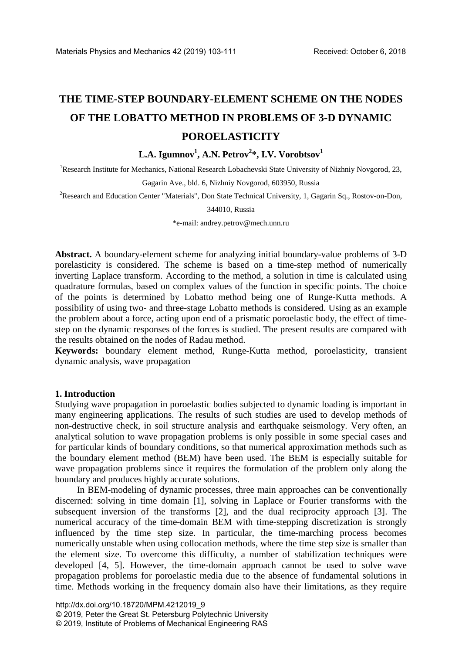# **THE TIME-STEP BOUNDARY-ELEMENT SCHEME ON THE NODES OF THE LOBATTO METHOD IN PROBLEMS OF 3-D DYNAMIC POROELASTICITY**

## $\mathbf{L.A.}\ \mathbf{Igumnov}^1,\mathbf{A.N.}\ \mathbf{Petrov}^{2*},\mathbf{I.V.}\ \mathbf{Vorobtsov}^{1*}$

<sup>1</sup>Research Institute for Mechanics, National Research Lobachevski State University of Nizhniy Novgorod, 23,

Gagarin Ave., bld. 6, Nizhniy Novgorod, 603950, Russia

<sup>2</sup>Research and Education Center "Materials", Don State Technical University, 1, Gagarin Sq., Rostov-on-Don,

#### 344010, Russia

\*e-mail: andrey.petrov@mech.unn.ru

**Abstract.** A boundary-element scheme for analyzing initial boundary-value problems of 3-D porelasticity is considered. The scheme is based on a time-step method of numerically inverting Laplace transform. According to the method, a solution in time is calculated using quadrature formulas, based on complex values of the function in specific points. The choice of the points is determined by Lobatto method being one of Runge-Kutta methods. A possibility of using two- and three-stage Lobatto methods is considered. Using as an example the problem about a force, acting upon end of a prismatic poroelastic body, the effect of timestep on the dynamic responses of the forces is studied. The present results are compared with the results obtained on the nodes of Radau method.

**Keywords:** boundary element method, Runge-Kutta method, poroelasticity, transient dynamic analysis, wave propagation

#### **1. Introduction**

Studying wave propagation in poroelastic bodies subjected to dynamic loading is important in many engineering applications. The results of such studies are used to develop methods of non-destructive check, in soil structure analysis and earthquake seismology. Very often, an analytical solution to wave propagation problems is only possible in some special cases and for particular kinds of boundary conditions, so that numerical approximation methods such as the boundary element method (BEM) have been used. The BEM is especially suitable for wave propagation problems since it requires the formulation of the problem only along the boundary and produces highly accurate solutions.

In BEM-modeling of dynamic processes, three main approaches can be conventionally discerned: solving in time domain [1], solving in Laplace or Fourier transforms with the subsequent inversion of the transforms [2], and the dual reciprocity approach [3]. The numerical accuracy of the time-domain BEM with time-stepping discretization is strongly influenced by the time step size. In particular, the time-marching process becomes numerically unstable when using collocation methods, where the time step size is smaller than the element size. To overcome this difficulty, a number of stabilization techniques were developed [4, 5]. However, the time-domain approach cannot be used to solve wave propagation problems for poroelastic media due to the absence of fundamental solutions in time. Methods working in the frequency domain also have their limitations, as they require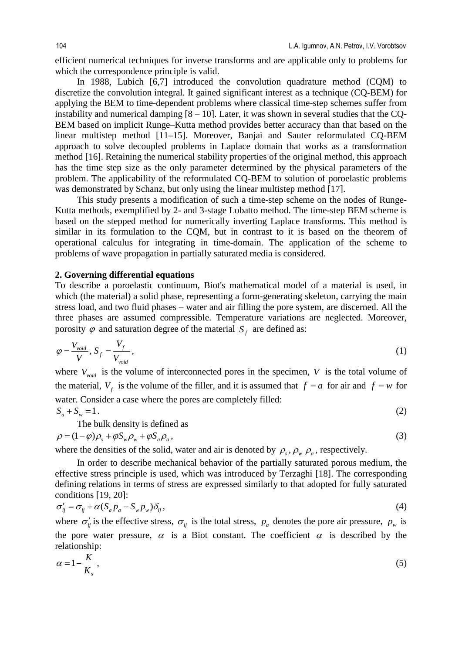efficient numerical techniques for inverse transforms and are applicable only to problems for which the correspondence principle is valid.

In 1988, Lubich [6,7] introduced the convolution quadrature method (COM) to discretize the convolution integral. It gained significant interest as a technique (CQ-BEM) for applying the BEM to time-dependent problems where classical time-step schemes suffer from instability and numerical damping  $[8 - 10]$ . Later, it was shown in several studies that the CQ-BEM based on implicit Runge–Kutta method provides better accuracy than that based on the linear multistep method [11–15]. Moreover, Banjai and Sauter reformulated CQ-BEM approach to solve decoupled problems in Laplace domain that works as a transformation method [16]. Retaining the numerical stability properties of the original method, this approach has the time step size as the only parameter determined by the physical parameters of the problem. The applicability of the reformulated CQ-BEM to solution of poroelastic problems was demonstrated by Schanz, but only using the linear multistep method [17].

This study presents a modification of such a time-step scheme on the nodes of Runge-Kutta methods, exemplified by 2- and 3-stage Lobatto method. The time-step BEM scheme is based on the stepped method for numerically inverting Laplace transforms. This method is similar in its formulation to the CQM, but in contrast to it is based on the theorem of operational calculus for integrating in time-domain. The application of the scheme to problems of wave propagation in partially saturated media is considered.

#### **2. Governing differential equations**

To describe a poroelastic continuum, Biot's mathematical model of a material is used, in which (the material) a solid phase, representing a form-generating skeleton, carrying the main stress load, and two fluid phases – water and air filling the pore system, are discerned. All the three phases are assumed compressible. Temperature variations are neglected. Moreover, porosity  $\varphi$  and saturation degree of the material  $S_f$  are defined as:

$$
\varphi = \frac{V_{void}}{V}, S_f = \frac{V_f}{V_{void}},
$$
\n(1)

where  $V_{\text{void}}$  is the volume of interconnected pores in the specimen,  $V$  is the total volume of the material,  $V_f$  is the volume of the filler, and it is assumed that  $f = a$  for air and  $f = w$  for water. Consider a case where the pores are completely filled:  $S_a + S_w = 1$ . (2)

The bulk density is defined as

$$
\rho = (1 - \varphi)\rho_s + \varphi S_w \rho_w + \varphi S_a \rho_a, \tag{3}
$$

where the densities of the solid, water and air is denoted by  $\rho_s$ ,  $\rho_w$ ,  $\rho_a$ , respectively.

In order to describe mechanical behavior of the partially saturated porous medium, the effective stress principle is used, which was introduced by Terzaghi [18]. The corresponding defining relations in terms of stress are expressed similarly to that adopted for fully saturated conditions [19, 20]:

$$
\sigma'_{ij} = \sigma_{ij} + \alpha (S_a p_a - S_w p_w) \delta_{ij}, \qquad (4)
$$

where  $\sigma'_{ij}$  is the effective stress,  $\sigma_{ij}$  is the total stress,  $p_a$  denotes the pore air pressure,  $p_w$  is the pore water pressure,  $\alpha$  is a Biot constant. The coefficient  $\alpha$  is described by the relationship:

$$
\alpha = 1 - \frac{K}{K_s},\tag{5}
$$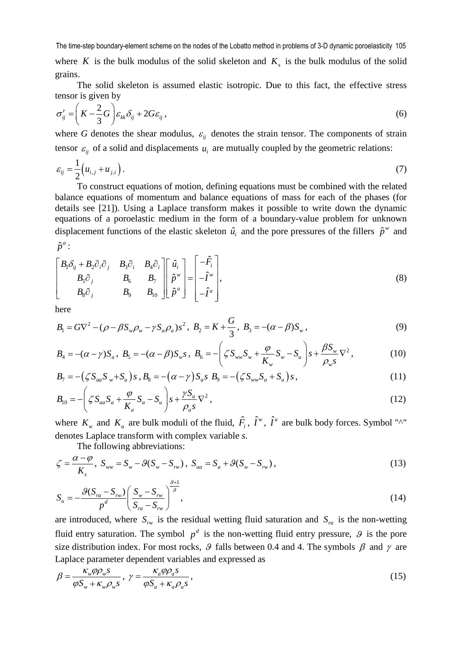where *K* is the bulk modulus of the solid skeleton and  $K<sub>s</sub>$  is the bulk modulus of the solid grains.

The solid skeleton is assumed elastic isotropic. Due to this fact, the effective stress tensor is given by

$$
\sigma'_{ij} = \left(K - \frac{2}{3}G\right)\varepsilon_{kk}\delta_{ij} + 2G\varepsilon_{ij},\tag{6}
$$

where *G* denotes the shear modulus,  $\varepsilon$ <sub>*ii*</sub> denotes the strain tensor. The components of strain tensor  $\varepsilon_{ii}$  of a solid and displacements  $u_i$  are mutually coupled by the geometric relations:

$$
\varepsilon_{ij} = \frac{1}{2} \left( u_{i,j} + u_{j,i} \right). \tag{7}
$$

To construct equations of motion, defining equations must be combined with the related balance equations of momentum and balance equations of mass for each of the phases (for details see [21]). Using a Laplace transform makes it possible to write down the dynamic equations of a poroelastic medium in the form of a boundary-value problem for unknown displacement functions of the elastic skeleton  $\hat{u}_i$  and the pore pressures of the fillers  $\hat{p}^w$  and  $\hat{p}^a$  :

$$
\begin{bmatrix} B_1 \delta_{ij} + B_2 \partial_i \partial_j & B_3 \partial_i & B_4 \partial_i \\ B_5 \partial_j & B_6 & B_7 \\ B_8 \partial_j & B_9 & B_{10} \end{bmatrix} \begin{bmatrix} \hat{u}_i \\ \hat{p}^w \\ \hat{p}^a \end{bmatrix} = \begin{bmatrix} -\hat{F}_i \\ -\hat{I}^w \\ -\hat{I}^a \end{bmatrix},
$$
\n(8)

here

$$
B_1 = G\nabla^2 - (\rho - \beta S_w \rho_w - \gamma S_a \rho_a) s^2, \ B_2 = K + \frac{G}{3}, \ B_3 = -(\alpha - \beta) S_w,
$$
\n(9)

$$
B_4 = -(\alpha - \gamma)S_a, \ B_5 = -(\alpha - \beta)S_w s, \ B_6 = -\left(\zeta S_{ww}S_w + \frac{\varphi}{K_w}S_w - S_u\right)s + \frac{\beta S_w}{\rho_w s} \nabla^2,
$$
 (10)

$$
B_7 = -(\zeta S_{aa} S_w + S_u) s \,, B_8 = -(\alpha - \gamma) S_a s \, B_9 = -(\zeta S_{ww} S_a + S_u) s \,, \tag{11}
$$

$$
B_{10} = -\left(\zeta S_{aa} S_a + \frac{\varphi}{K_a} S_a - S_u\right) s + \frac{\gamma S_a}{\rho_a s} \nabla^2,
$$
\n(12)

where  $K_w$  and  $K_a$  are bulk moduli of the fluid,  $\hat{F}_i$ ,  $\hat{I}^w$ ,  $\hat{I}^a$  are bulk body forces. Symbol "^" denotes Laplace transform with complex variable *s*.

The following abbreviations:

$$
\zeta = \frac{\alpha - \varphi}{K_s}, \ S_{ww} = S_w - \mathcal{G}(S_w - S_{rw}), \ S_{aa} = S_a + \mathcal{G}(S_w - S_{rw}),
$$
\n(13)

$$
S_u = -\frac{\mathcal{G}(S_{ra} - S_{rw})}{p^d} \left( \frac{S_w - S_{rw}}{S_{ra} - S_{rw}} \right)^{\frac{\omega}{g}},\tag{14}
$$

are introduced, where  $S_{rw}$  is the residual wetting fluid saturation and  $S_{ra}$  is the non-wetting fluid entry saturation. The symbol  $p^d$  is the non-wetting fluid entry pressure,  $\mathcal{G}$  is the pore size distribution index. For most rocks,  $\theta$  falls between 0.4 and 4. The symbols  $\beta$  and  $\gamma$  are Laplace parameter dependent variables and expressed as

$$
\beta = \frac{\kappa_w \varphi \rho_w s}{\varphi S_w + \kappa_w \rho_w s}, \ \gamma = \frac{\kappa_a \varphi \rho_a s}{\varphi S_a + \kappa_a \rho_a s}, \tag{15}
$$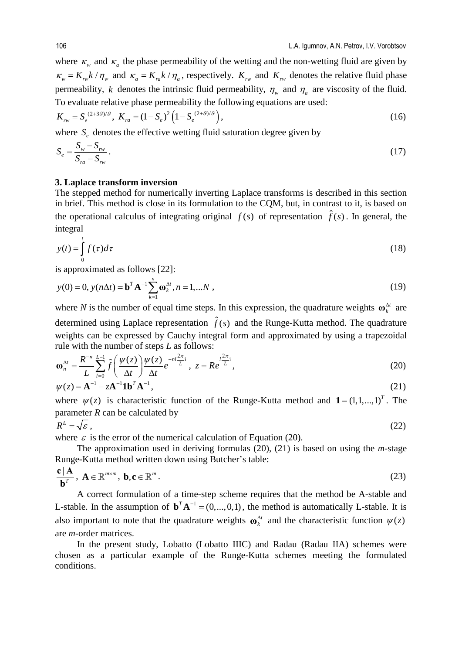where  $\kappa_w$  and  $\kappa_a$  the phase permeability of the wetting and the non-wetting fluid are given by  $\kappa_w = K_{rw} k / \eta_w$  and  $\kappa_a = K_{ra} k / \eta_a$ , respectively.  $K_{rw}$  and  $K_{rw}$  denotes the relative fluid phase permeability, *k* denotes the intrinsic fluid permeability,  $\eta_w$  and  $\eta_a$  are viscosity of the fluid. To evaluate relative phase permeability the following equations are used:

$$
K_{rw} = S_e^{(2+3\theta)/9}, \ K_{ra} = (1 - S_e)^2 \left(1 - S_e^{(2+\theta)/9}\right), \tag{16}
$$

where  $S_e$  denotes the effective wetting fluid saturation degree given by

$$
S_e = \frac{S_w - S_{rw}}{S_{ra} - S_{rw}}.
$$
\n(17)

#### **3. Laplace transform inversion**

The stepped method for numerically inverting Laplace transforms is described in this section in brief. This method is close in its formulation to the CQM, but, in contrast to it, is based on the operational calculus of integrating original  $f(s)$  of representation  $\hat{f}(s)$ . In general, the integral

$$
y(t) = \int_{0}^{t} f(\tau)d\tau
$$
 (18)

is approximated as follows [22]:

$$
y(0) = 0, y(n\Delta t) = \mathbf{b}^T \mathbf{A}^{-1} \sum_{k=1}^n \mathbf{\omega}_k^{\Delta t}, n = 1,...N,
$$
\n(19)

where *N* is the number of equal time steps. In this expression, the quadrature weights  $\omega_k^{\Delta t}$  are determined using Laplace representation  $\hat{f}(s)$  and the Runge-Kutta method. The quadrature weights can be expressed by Cauchy integral form and approximated by using a trapezoidal rule with the number of steps *L* as follows:

$$
\mathbf{\omega}_n^{\Delta t} = \frac{R^{-n}}{L} \sum_{l=0}^{L-1} \hat{f}\left(\frac{\psi(z)}{\Delta t}\right) \frac{\psi(z)}{\Delta t} e^{-nl\frac{2\pi}{L}i}, \ z = Re^{\frac{l^2\pi}{L}i}, \tag{20}
$$

$$
\psi(z) = A^{-1} - zA^{-1}1b^{T}A^{-1},
$$
\n(21)

where  $\psi(z)$  is characteristic function of the Runge-Kutta method and  $\mathbf{1} = (1,1,...,1)^T$ . The parameter *R* can be calculated by

$$
R^L = \sqrt{\varepsilon} \,,\tag{22}
$$

where  $\varepsilon$  is the error of the numerical calculation of Equation (20).

The approximation used in deriving formulas (20), (21) is based on using the *m*-stage Runge-Kutta method written down using Butcher's table:

$$
\frac{\mathbf{c} \mid \mathbf{A}}{\mathbf{b}^T}, \ \mathbf{A} \in \mathbb{R}^{m \times m}, \ \mathbf{b}, \mathbf{c} \in \mathbb{R}^m.
$$

A correct formulation of a time-step scheme requires that the method be A-stable and L-stable. In the assumption of  $\mathbf{b}^T \mathbf{A}^{-1} = (0, ..., 0, 1)$ , the method is automatically L-stable. It is also important to note that the quadrature weights  $\omega_k^{\Delta t}$  and the characteristic function  $\psi(z)$ are *m*-order matrices.

In the present study, Lobatto (Lobatto IIIC) and Radau (Radau IIA) schemes were chosen as a particular example of the Runge-Kutta schemes meeting the formulated conditions.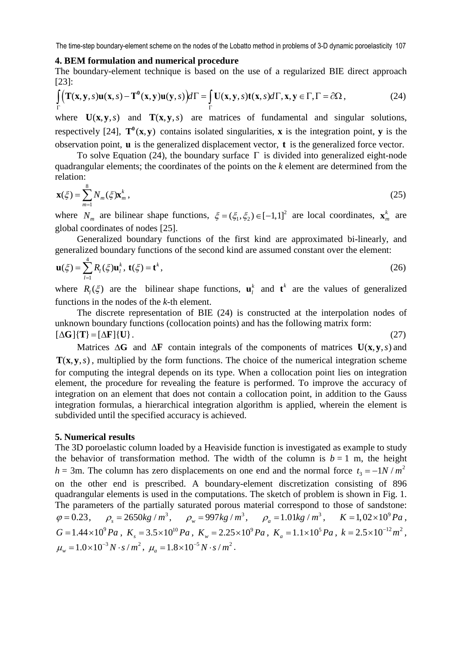#### **4. BEM formulation and numerical procedure**

The boundary-element technique is based on the use of a regularized BIE direct approach [23]:

$$
\int_{\Gamma} \left( \mathbf{T}(\mathbf{x}, \mathbf{y}, s) \mathbf{u}(\mathbf{x}, s) - \mathbf{T}^0(\mathbf{x}, \mathbf{y}) \mathbf{u}(\mathbf{y}, s) \right) d\Gamma = \int_{\Gamma} \mathbf{U}(\mathbf{x}, \mathbf{y}, s) \mathbf{t}(\mathbf{x}, s) d\Gamma, \mathbf{x}, \mathbf{y} \in \Gamma, \Gamma = \partial \Omega, \tag{24}
$$

where  $U(x, y, s)$  and  $T(x, y, s)$  are matrices of fundamental and singular solutions, respectively [24],  $T^0(x, y)$  contains isolated singularities, **x** is the integration point, **y** is the observation point, **u** is the generalized displacement vector, **t** is the generalized force vector.

To solve Equation (24), the boundary surface  $\Gamma$  is divided into generalized eight-node quadrangular elements; the coordinates of the points on the *k* element are determined from the relation:

$$
\mathbf{x}(\xi) = \sum_{m=1}^{8} N_m(\xi) \mathbf{x}_m^k,
$$
\n(25)

where  $N_m$  are bilinear shape functions,  $\xi = (\xi_1, \xi_2) \in [-1, 1]^2$  are local coordinates,  $\mathbf{x}_m^k$  are global coordinates of nodes [25].

Generalized boundary functions of the first kind are approximated bi-linearly, and generalized boundary functions of the second kind are assumed constant over the element:

$$
\mathbf{u}(\xi) = \sum_{l=1}^{4} R_l(\xi) \mathbf{u}_l^k, \mathbf{t}(\xi) = \mathbf{t}^k,
$$
 (26)

where  $R_i(\xi)$  are the bilinear shape functions,  $\mathbf{u}_i^k$  and  $\mathbf{t}^k$  are the values of generalized functions in the nodes of the *k-*th element.

The discrete representation of BIE (24) is constructed at the interpolation nodes of unknown boundary functions (collocation points) and has the following matrix form:  $[\Delta G]$ {**T**} =  $[\Delta F]$ {**U**}. (27)

Matrices Δ**G** and Δ**F** contain integrals of the components of matrices **U(x, y, s)** and  $T(x, y, s)$ , multiplied by the form functions. The choice of the numerical integration scheme for computing the integral depends on its type. When a collocation point lies on integration element, the procedure for revealing the feature is performed. To improve the accuracy of integration on an element that does not contain a collocation point, in addition to the Gauss integration formulas, a hierarchical integration algorithm is applied, wherein the element is subdivided until the specified accuracy is achieved.

#### **5. Numerical results**

The 3D poroelastic column loaded by a Heaviside function is investigated as example to study the behavior of transformation method. The width of the column is  $b = 1$  m, the height  $h = 3$ m. The column has zero displacements on one end and the normal force  $t_3 = -1N/m^2$ on the other end is prescribed. A boundary-element discretization consisting of 896 quadrangular elements is used in the computations. The sketch of problem is shown in Fig. 1. The parameters of the partially saturated porous material correspond to those of sandstone:  $\varphi = 0.23$ ,  $\rho_s = 2650 kg / m^3$ ,  $\rho_w = 997 kg / m^3$ ,  $\rho_a = 1.01 kg / m^3$ ,  $K = 1,02 \times 10^9 Pa$ ,  $G = 1.44 \times 10^9 Pa$ ,  $K_s = 3.5 \times 10^{10} Pa$ ,  $K_w = 2.25 \times 10^9 Pa$ ,  $K_a = 1.1 \times 10^5 Pa$ ,  $k = 2.5 \times 10^{-12} m^2$ ,  $\mu_w = 1.0 \times 10^{-3} N \cdot s / m^2$ ,  $\mu_a = 1.8 \times 10^{-5} N \cdot s / m^2$ .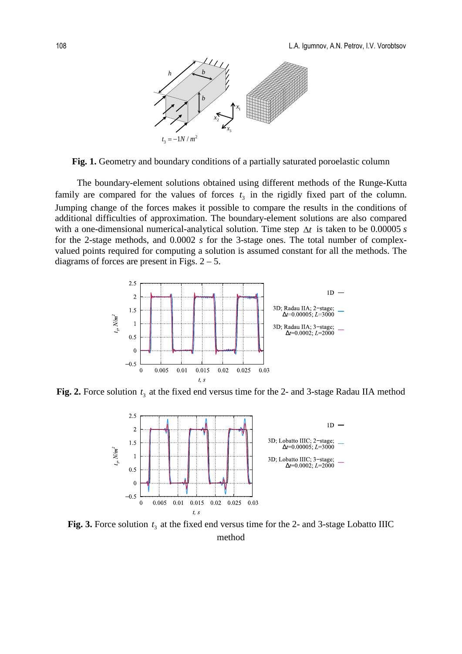

**Fig. 1.** Geometry and boundary conditions of a partially saturated poroelastic column

The boundary-element solutions obtained using different methods of the Runge-Kutta family are compared for the values of forces  $t_3$  in the rigidly fixed part of the column. Jumping change of the forces makes it possible to compare the results in the conditions of additional difficulties of approximation. The boundary-element solutions are also compared with a one-dimensional numerical-analytical solution. Time step ∆*t* is taken to be 0.00005 *s*  for the 2-stage methods, and 0.0002 *s* for the 3-stage ones. The total number of complexvalued points required for computing a solution is assumed constant for all the methods. The diagrams of forces are present in Figs.  $2 - 5$ .



**Fig. 2.** Force solution  $t_3$  at the fixed end versus time for the 2- and 3-stage Radau IIA method



Fig. 3. Force solution  $t_3$  at the fixed end versus time for the 2- and 3-stage Lobatto IIIC method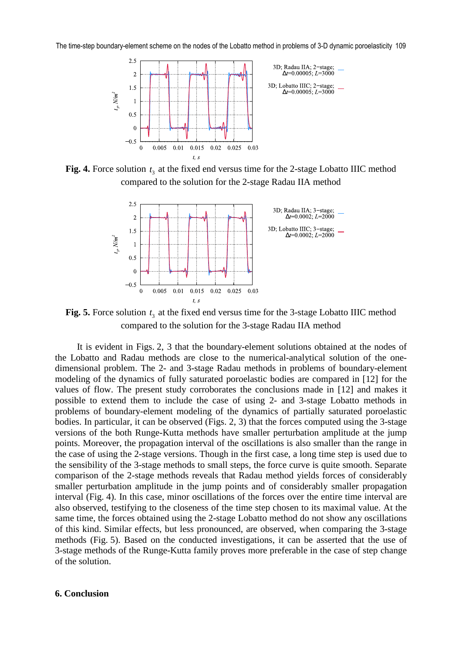

**Fig. 4.** Force solution  $t_3$  at the fixed end versus time for the 2-stage Lobatto IIIC method compared to the solution for the 2-stage Radau IIA method



**Fig. 5.** Force solution  $t_3$  at the fixed end versus time for the 3-stage Lobatto IIIC method compared to the solution for the 3-stage Radau IIA method

It is evident in Figs. 2, 3 that the boundary-element solutions obtained at the nodes of the Lobatto and Radau methods are close to the numerical-analytical solution of the onedimensional problem. The 2- and 3-stage Radau methods in problems of boundary-element modeling of the dynamics of fully saturated poroelastic bodies are compared in [12] for the values of flow. The present study corroborates the conclusions made in [12] and makes it possible to extend them to include the case of using 2- and 3-stage Lobatto methods in problems of boundary-element modeling of the dynamics of partially saturated poroelastic bodies. In particular, it can be observed (Figs. 2, 3) that the forces computed using the 3-stage versions of the both Runge-Kutta methods have smaller perturbation amplitude at the jump points. Moreover, the propagation interval of the oscillations is also smaller than the range in the case of using the 2-stage versions. Though in the first case, a long time step is used due to the sensibility of the 3-stage methods to small steps, the force curve is quite smooth. Separate comparison of the 2-stage methods reveals that Radau method yields forces of considerably smaller perturbation amplitude in the jump points and of considerably smaller propagation interval (Fig. 4). In this case, minor oscillations of the forces over the entire time interval are also observed, testifying to the closeness of the time step chosen to its maximal value. At the same time, the forces obtained using the 2-stage Lobatto method do not show any oscillations of this kind. Similar effects, but less pronounced, are observed, when comparing the 3-stage methods (Fig. 5). Based on the conducted investigations, it can be asserted that the use of 3-stage methods of the Runge-Kutta family proves more preferable in the case of step change of the solution.

#### **6. Conclusion**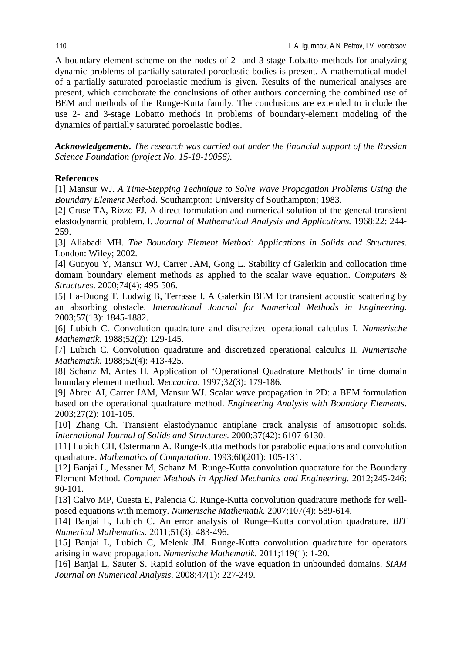A boundary-element scheme on the nodes of 2- and 3-stage Lobatto methods for analyzing dynamic problems of partially saturated poroelastic bodies is present. A mathematical model of a partially saturated poroelastic medium is given. Results of the numerical analyses are present, which corroborate the conclusions of other authors concerning the combined use of BEM and methods of the Runge-Kutta family. The conclusions are extended to include the use 2- and 3-stage Lobatto methods in problems of boundary-element modeling of the dynamics of partially saturated poroelastic bodies.

*Acknowledgements. The research was carried out under the financial support of the Russian Science Foundation (project No. 15-19-10056).* 

### **References**

[1] Mansur WJ. *A Time-Stepping Technique to Solve Wave Propagation Problems Using the Boundary Element Method*. Southampton: University of Southampton; 1983.

[2] Cruse TA, Rizzo FJ. A direct formulation and numerical solution of the general transient elastodynamic problem. I. *Journal of Mathematical Analysis and Applications.* 1968;22: 244- 259.

[3] Aliabadi MH. *The Boundary Element Method: Applications in Solids and Structures*. London: Wiley; 2002.

[4] Guoyou Y, Mansur WJ, Carrer JAM, Gong L. Stability of Galerkin and collocation time domain boundary element methods as applied to the scalar wave equation. *Computers & Structures*. 2000;74(4): 495-506.

[5] Ha-Duong T, Ludwig B, Terrasse I. A Galerkin BEM for transient acoustic scattering by an absorbing obstacle. *International Journal for Numerical Methods in Engineering*. 2003;57(13): 1845-1882.

[6] Lubich C. Convolution quadrature and discretized operational calculus I. *Numerische Mathematik*. 1988;52(2): 129-145.

[7] Lubich C. Convolution quadrature and discretized operational calculus II. *Numerische Mathematik.* 1988;52(4): 413-425.

[8] Schanz M, Antes H. Application of 'Operational Quadrature Methods' in time domain boundary element method. *Meccanica*. 1997;32(3): 179-186.

[9] Abreu AI, Carrer JAM, Mansur WJ. Scalar wave propagation in 2D: a BEM formulation based on the operational quadrature method. *Engineering Analysis with Boundary Elements*. 2003;27(2): 101-105.

[10] Zhang Ch. Transient elastodynamic antiplane crack analysis of anisotropic solids. *International Journal of Solids and Structures.* 2000;37(42): 6107-6130.

[11] Lubich CH, Ostermann A. Runge-Kutta methods for parabolic equations and convolution quadrature. *Mathematics of Computation*. 1993;60(201): 105-131.

[12] Banjai L, Messner M, Schanz M. Runge-Kutta convolution quadrature for the Boundary Element Method. *Computer Methods in Applied Mechanics and Engineering*. 2012;245-246: 90-101.

[13] Calvo MP, Cuesta E, Palencia C. Runge-Kutta convolution quadrature methods for wellposed equations with memory. *Numerische Mathematik.* 2007;107(4): 589-614.

[14] Banjai L, Lubich C. An error analysis of Runge–Kutta convolution quadrature. *BIT Numerical Mathematics*. 2011;51(3): 483-496.

[15] Banjai L, Lubich C, Melenk JM. Runge-Kutta convolution quadrature for operators arising in wave propagation. *Numerische Mathematik*. 2011;119(1): 1-20.

[16] Banjai L, Sauter S. Rapid solution of the wave equation in unbounded domains. *SIAM Journal on Numerical Analysis*. 2008;47(1): 227-249.